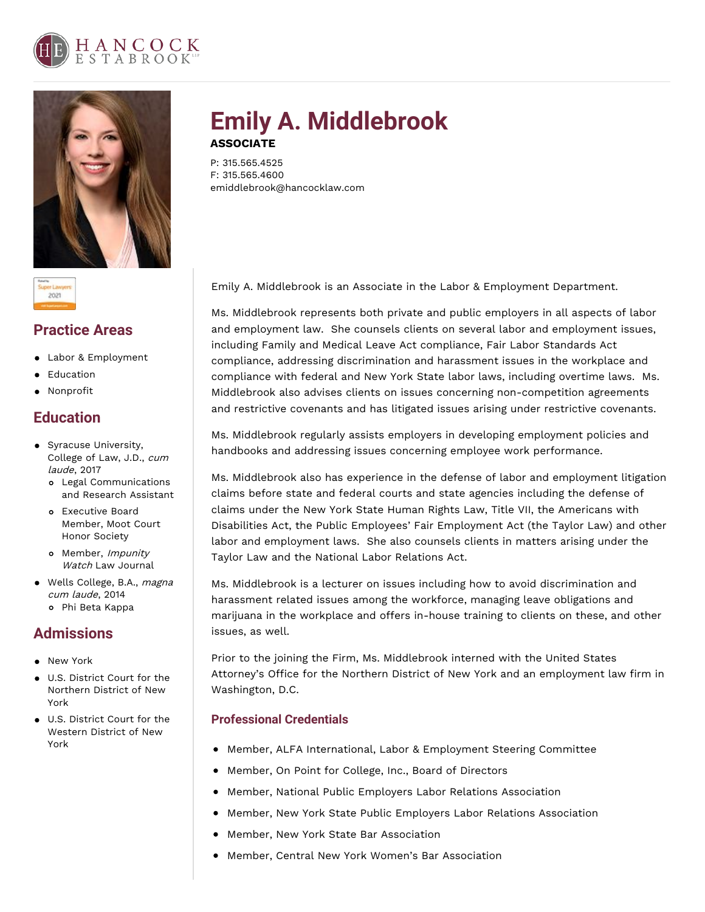





### **Practice Areas**

- Labor & Employment
- Education
- Nonprofit

# **Education**

- **•** Syracuse University, College of Law, J.D., cum laude, 2017
	- Legal Communications and Research Assistant
	- Executive Board Member, Moot Court Honor Society
	- o Member, *Impunity* Watch Law Journal
- Wells College, B.A., magna cum laude, 2014 Phi Beta Kappa

# **Admissions**

- **New York**
- U.S. District Court for the Northern District of New York
- U.S. District Court for the Western District of New York

# **Emily A. Middlebrook ASSOCIATE**

P: 315.565.4525 F: 315.565.4600 emiddlebrook@hancocklaw.com

Emily A. Middlebrook is an Associate in the Labor & Employment Department.

Ms. Middlebrook represents both private and public employers in all aspects of labor and employment law. She counsels clients on several labor and employment issues, including Family and Medical Leave Act compliance, Fair Labor Standards Act compliance, addressing discrimination and harassment issues in the workplace and compliance with federal and New York State labor laws, including overtime laws. Ms. Middlebrook also advises clients on issues concerning non-competition agreements and restrictive covenants and has litigated issues arising under restrictive covenants.

Ms. Middlebrook regularly assists employers in developing employment policies and handbooks and addressing issues concerning employee work performance.

Ms. Middlebrook also has experience in the defense of labor and employment litigation claims before state and federal courts and state agencies including the defense of claims under the New York State Human Rights Law, Title VII, the Americans with Disabilities Act, the Public Employees' Fair Employment Act (the Taylor Law) and other labor and employment laws. She also counsels clients in matters arising under the Taylor Law and the National Labor Relations Act.

Ms. Middlebrook is a lecturer on issues including how to avoid discrimination and harassment related issues among the workforce, managing leave obligations and marijuana in the workplace and offers in-house training to clients on these, and other issues, as well.

Prior to the joining the Firm, Ms. Middlebrook interned with the United States Attorney's Office for the Northern District of New York and an employment law firm in Washington, D.C.

### **Professional Credentials**

- **•** Member, ALFA International, Labor & Employment Steering Committee
- $\bullet$ Member, On Point for College, Inc., Board of Directors
- Member, National Public Employers Labor Relations Association
- Member, New York State Public Employers Labor Relations Association  $\bullet$
- Member, New York State Bar Association
- Member, Central New York Women's Bar Association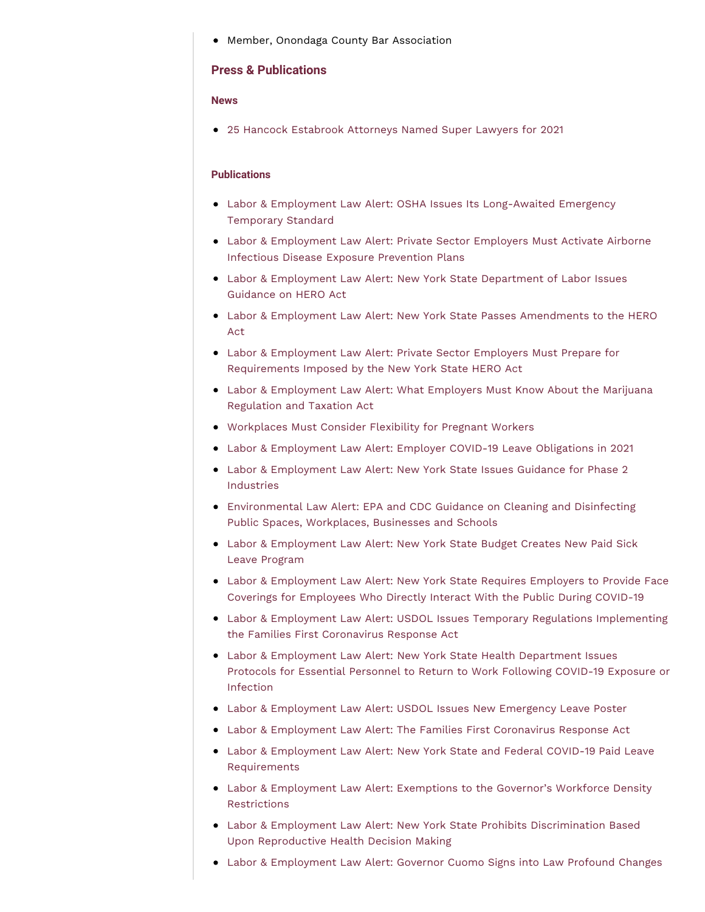Member, Onondaga County Bar Association

### **Press & Publications**

#### **News**

25 Hancock Estabrook Attorneys Named Super Lawyers for 2021

#### **Publications**

- Labor & Employment Law Alert: OSHA Issues Its [Long-Awaited](https://www.hancocklaw.com/publications/labor-employment-law-alert-osha-issues-its-long-awaited-emergency-temporary-standard/) Emergency Temporary Standard
- Labor & [Employment](https://www.hancocklaw.com/publications/labor-employment-law-alert-private-sector-employers-must-activate-airborne-infectious-disease-exposure-prevention-plans/) Law Alert: Private Sector Employers Must Activate Airborne Infectious Disease Exposure Prevention Plans
- Labor & [Employment](https://www.hancocklaw.com/publications/labor-employment-law-alert-new-york-state-department-of-labor-issues-guidance-on-hero-act/) Law Alert: New York State Department of Labor Issues Guidance on HERO Act
- Labor & Employment Law Alert: New York State Passes [Amendments](https://www.hancocklaw.com/publications/labor-employment-law-alert-new-york-state-passes-amendments-to-the-hero-act/) to the HERO Act
- Labor & Employment Law Alert: Private Sector Employers Must Prepare for [Requirements](https://www.hancocklaw.com/publications/labor-employment-law-alert-private-sector-employers-must-prepare-for-requirements-imposed-by-the-new-york-state-hero-act/) Imposed by the New York State HERO Act
- Labor & [Employment](https://www.hancocklaw.com/publications/labor-employment-law-alert-what-employers-must-know-about-the-marijuana-regulation-and-taxation-act/) Law Alert: What Employers Must Know About the Marijuana Regulation and Taxation Act
- [Workplaces](https://www.hancocklaw.com/publications/workplaces-must-consider-flexibility-for-pregnant-workers/) Must Consider Flexibility for Pregnant Workers
- Labor & [Employment](https://www.hancocklaw.com/publications/labor-employment-law-alert-employer-covid-19-leave-obligations-in-2021/) Law Alert: Employer COVID-19 Leave Obligations in 2021
- Labor & [Employment](https://www.hancocklaw.com/publications/labor-employment-law-alert-new-york-state-issues-guidance-for-phase-2-industries/) Law Alert: New York State Issues Guidance for Phase 2 Industries
- [Environmental](https://www.hancocklaw.com/publications/environmental-law-alert-epa-and-cdc-guidance-on-cleaning-and-disinfecting-public-spaces-workplaces-businesses-and-schools/) Law Alert: EPA and CDC Guidance on Cleaning and Disinfecting Public Spaces, Workplaces, Businesses and Schools
- Labor & [Employment](https://www.hancocklaw.com/publications/labor-employment-law-alert-new-york-state-budget-creates-new-paid-sick-leave-program/) Law Alert: New York State Budget Creates New Paid Sick Leave Program
- Labor & [Employment](https://www.hancocklaw.com/publications/labor-employment-law-alert-new-york-state-requires-employers-to-provide-face-coverings-for-employees-who-directly-interact-with-the-public-during-covid-19/) Law Alert: New York State Requires Employers to Provide Face Coverings for Employees Who Directly Interact With the Public During COVID-19
- Labor & Employment Law Alert: USDOL Issues Temporary Regulations [Implementing](https://www.hancocklaw.com/publications/labor-employment-law-alert-usdol-issues-temporary-regulations-implementing-the-families-first-coronavirus-response-act/) the Families First Coronavirus Response Act
- Labor & [Employment](https://www.hancocklaw.com/publications/labor-employment-law-alert-new-york-state-health-department-issues-protocols-for-essential-personnel-to-return-to-work-following-covid-19-exposure-or-infection/) Law Alert: New York State Health Department Issues Protocols for Essential Personnel to Return to Work Following COVID-19 Exposure or Infection
- Labor & [Employment](https://www.hancocklaw.com/publications/labor-employment-law-alert-usdol-issues-new-emergency-leave-poster/) Law Alert: USDOL Issues New Emergency Leave Poster
- Labor & [Employment](https://www.hancocklaw.com/publications/labor-employment-law-alert-the-families-first-coronavirus-response-act/) Law Alert: The Families First Coronavirus Response Act
- Labor & Employment Law Alert: New York State and Federal COVID-19 Paid Leave [Requirements](https://www.hancocklaw.com/publications/labor-employment-law-alert-new-york-state-and-federal-covid-19-paid-leave-requirements/)
- Labor & [Employment](https://www.hancocklaw.com/publications/labor-employment-law-alert-exemptions-to-the-governors-workforce-density-restrictions/) Law Alert: Exemptions to the Governor's Workforce Density Restrictions
- Labor & Employment Law Alert: New York State Prohibits [Discrimination](https://www.hancocklaw.com/publications/labor-employment-law-alert-new-york-state-prohibits-discrimination-based-upon-reproductive-health-decision/) Based Upon Reproductive Health Decision Making
- Labor & [Employment](https://www.hancocklaw.com/publications/labor-employment-law-alert-governor-cuomo-signs-into-law-profound-changes-increasing-workplace-protections/) Law Alert: Governor Cuomo Signs into Law Profound Changes